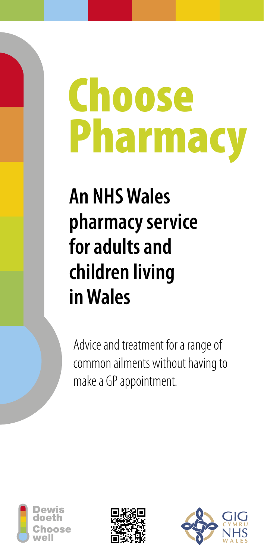# **Choose** Pharmacy

# **An NHS Wales pharmacy service for adults and children living in Wales**

Advice and treatment for a range of common ailments without having to make a GP appointment.





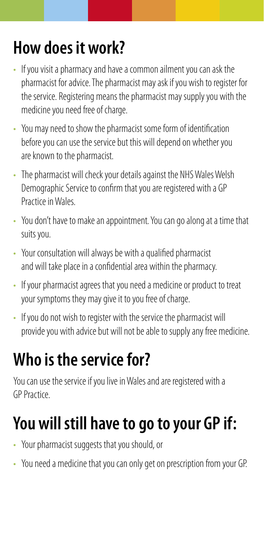#### **How does it work?**

- If you visit a pharmacy and have a common ailment you can ask the pharmacist for advice. The pharmacist may ask if you wish to register for the service. Registering means the pharmacist may supply you with the medicine you need free of charge.
- You may need to show the pharmacist some form of identification before you can use the service but this will depend on whether you are known to the pharmacist.
- The pharmacist will check your details against the NHS Wales Welsh Demographic Service to confirm that you are registered with a GP Practice in Wales.
- You don't have to make an appointment. You can go along at a time that suits you.
- Your consultation will always be with a qualified pharmacist and will take place in a confidential area within the pharmacy.
- If your pharmacist agrees that you need a medicine or product to treat your symptoms they may give it to you free of charge.
- If you do not wish to register with the service the pharmacist will provide you with advice but will not be able to supply any free medicine.

### **Who is the service for?**

You can use the service if you live in Wales and are registered with a GP Practice.

## **You will still have to go to your GP if:**

- Your pharmacist suggests that you should, or
- You need a medicine that you can only get on prescription from your GP.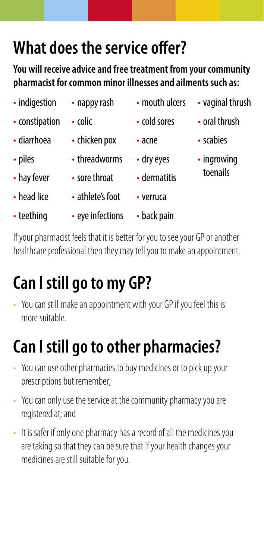#### **What does the service offer?**

**You will receive advice and free treatment from your community pharmacist for common minor illnesses and ailments such as:**

| $\bullet$ | indigestion |
|-----------|-------------|
|-----------|-------------|

- nappy rash
- constipation
- diarrhoea
- piles
- hay fever
- head lice
- teething
- colic
- chicken pox
- threadworms
- sore throat
- athlete's foot
- eye infections
- dermatitis • verruca

• dry eyes

• mouth ulcers

• cold sores

• acne

• back pain

- vaginal thrush
	- oral thrush
	- scabies
- ingrowing toenails
- If your pharmacist feels that it is better for you to see your GP or another healthcare professional then they may tell you to make an appointment.

# **Can I still go to my GP?**

• You can still make an appointment with your GP if you feel this is more suitable.

# **Can I still go to other pharmacies?**

- You can use other pharmacies to buy medicines or to pick up your prescriptions but remember;
- You can only use the service at the community pharmacy you are registered at; and
- It is safer if only one pharmacy has a record of all the medicines you are taking so that they can be sure that if your health changes your medicines are still suitable for you.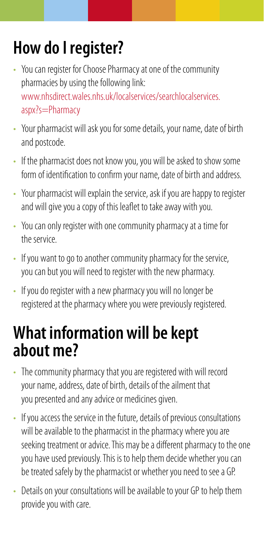## **How do I register?**

- You can register for Choose Pharmacy at one of the community pharmacies by using the following link: [www.nhsdirect.wales.nhs.uk/localservices/searchlocalservices.](https://www.nhsdirect.wales.nhs.uk/localservices/searchlocalservices.aspx?s=Pharmacy) [aspx?s=Pharmacy](https://www.nhsdirect.wales.nhs.uk/localservices/searchlocalservices.aspx?s=Pharmacy)
- Your pharmacist will ask you for some details, your name, date of birth and postcode.
- If the pharmacist does not know you, you will be asked to show some form of identification to confirm your name, date of birth and address.
- Your pharmacist will explain the service, ask if you are happy to register and will give you a copy of this leaflet to take away with you.
- You can only register with one community pharmacy at a time for the service.
- If you want to go to another community pharmacy for the service, you can but you will need to register with the new pharmacy.
- If you do register with a new pharmacy you will no longer be registered at the pharmacy where you were previously registered.

#### **What information will be kept about me?**

- The community pharmacy that you are registered with will record your name, address, date of birth, details of the ailment that you presented and any advice or medicines given.
- If you access the service in the future, details of previous consultations will be available to the pharmacist in the pharmacy where you are seeking treatment or advice. This may be a different pharmacy to the one you have used previously. This is to help them decide whether you can be treated safely by the pharmacist or whether you need to see a GP.
- Details on your consultations will be available to your GP to help them provide you with care.